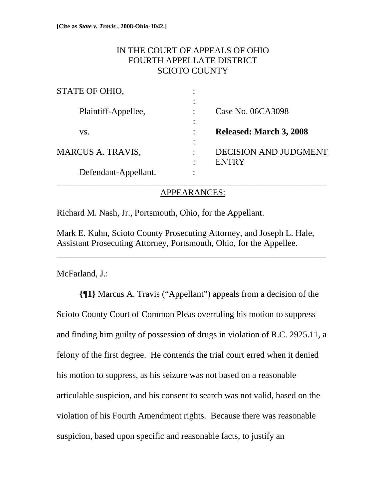# IN THE COURT OF APPEALS OF OHIO FOURTH APPELLATE DISTRICT SCIOTO COUNTY

| STATE OF OHIO,           |                                             |
|--------------------------|---------------------------------------------|
| Plaintiff-Appellee,      | Case No. 06CA3098                           |
| VS.                      | <b>Released: March 3, 2008</b>              |
| <b>MARCUS A. TRAVIS,</b> | <b>DECISION AND JUDGMEI</b><br><b>ENTRY</b> |
| Defendant-Appellant.     |                                             |

### APPEARANCES:

Richard M. Nash, Jr., Portsmouth, Ohio, for the Appellant.

Mark E. Kuhn, Scioto County Prosecuting Attorney, and Joseph L. Hale, Assistant Prosecuting Attorney, Portsmouth, Ohio, for the Appellee.

\_\_\_\_\_\_\_\_\_\_\_\_\_\_\_\_\_\_\_\_\_\_\_\_\_\_\_\_\_\_\_\_\_\_\_\_\_\_\_\_\_\_\_\_\_\_\_\_\_\_\_\_\_\_\_\_\_\_\_\_\_

McFarland, J.:

**{¶1}** Marcus A. Travis ("Appellant") appeals from a decision of the Scioto County Court of Common Pleas overruling his motion to suppress and finding him guilty of possession of drugs in violation of R.C. 2925.11, a felony of the first degree. He contends the trial court erred when it denied his motion to suppress, as his seizure was not based on a reasonable articulable suspicion, and his consent to search was not valid, based on the violation of his Fourth Amendment rights. Because there was reasonable suspicion, based upon specific and reasonable facts, to justify an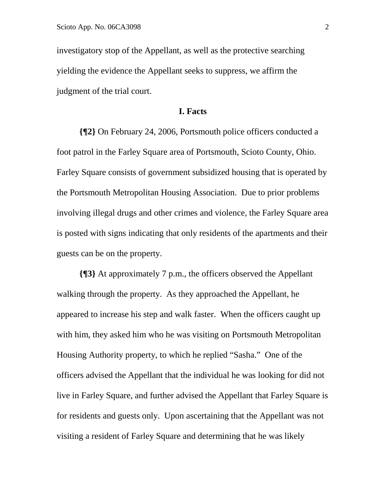investigatory stop of the Appellant, as well as the protective searching yielding the evidence the Appellant seeks to suppress, we affirm the judgment of the trial court.

#### **I. Facts**

**{¶2}** On February 24, 2006, Portsmouth police officers conducted a foot patrol in the Farley Square area of Portsmouth, Scioto County, Ohio. Farley Square consists of government subsidized housing that is operated by the Portsmouth Metropolitan Housing Association. Due to prior problems involving illegal drugs and other crimes and violence, the Farley Square area is posted with signs indicating that only residents of the apartments and their guests can be on the property.

**{¶3}** At approximately 7 p.m., the officers observed the Appellant walking through the property. As they approached the Appellant, he appeared to increase his step and walk faster. When the officers caught up with him, they asked him who he was visiting on Portsmouth Metropolitan Housing Authority property, to which he replied "Sasha." One of the officers advised the Appellant that the individual he was looking for did not live in Farley Square, and further advised the Appellant that Farley Square is for residents and guests only. Upon ascertaining that the Appellant was not visiting a resident of Farley Square and determining that he was likely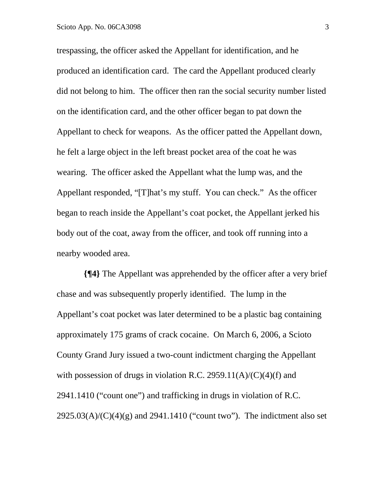trespassing, the officer asked the Appellant for identification, and he produced an identification card. The card the Appellant produced clearly did not belong to him. The officer then ran the social security number listed on the identification card, and the other officer began to pat down the Appellant to check for weapons. As the officer patted the Appellant down, he felt a large object in the left breast pocket area of the coat he was wearing. The officer asked the Appellant what the lump was, and the Appellant responded, "[T]hat's my stuff. You can check." As the officer began to reach inside the Appellant's coat pocket, the Appellant jerked his body out of the coat, away from the officer, and took off running into a nearby wooded area.

 **{¶4}** The Appellant was apprehended by the officer after a very brief chase and was subsequently properly identified. The lump in the Appellant's coat pocket was later determined to be a plastic bag containing approximately 175 grams of crack cocaine. On March 6, 2006, a Scioto County Grand Jury issued a two-count indictment charging the Appellant with possession of drugs in violation R.C. 2959.11(A)/(C)(4)(f) and 2941.1410 ("count one") and trafficking in drugs in violation of R.C.  $2925.03(A)/(C)(4)(g)$  and  $2941.1410$  ("count two"). The indictment also set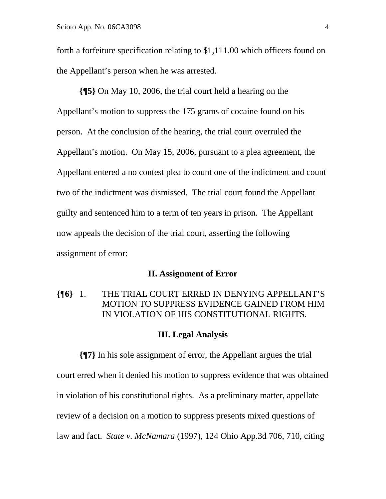forth a forfeiture specification relating to \$1,111.00 which officers found on the Appellant's person when he was arrested.

**{¶5}** On May 10, 2006, the trial court held a hearing on the Appellant's motion to suppress the 175 grams of cocaine found on his person. At the conclusion of the hearing, the trial court overruled the Appellant's motion. On May 15, 2006, pursuant to a plea agreement, the Appellant entered a no contest plea to count one of the indictment and count two of the indictment was dismissed. The trial court found the Appellant guilty and sentenced him to a term of ten years in prison. The Appellant now appeals the decision of the trial court, asserting the following assignment of error:

#### **II. Assignment of Error**

# **{¶6}** 1. THE TRIAL COURT ERRED IN DENYING APPELLANT'S MOTION TO SUPPRESS EVIDENCE GAINED FROM HIM IN VIOLATION OF HIS CONSTITUTIONAL RIGHTS.

### **III. Legal Analysis**

**{¶7}** In his sole assignment of error, the Appellant argues the trial court erred when it denied his motion to suppress evidence that was obtained in violation of his constitutional rights. As a preliminary matter, appellate review of a decision on a motion to suppress presents mixed questions of law and fact. *State v. McNamara* (1997), 124 Ohio App.3d 706, 710, citing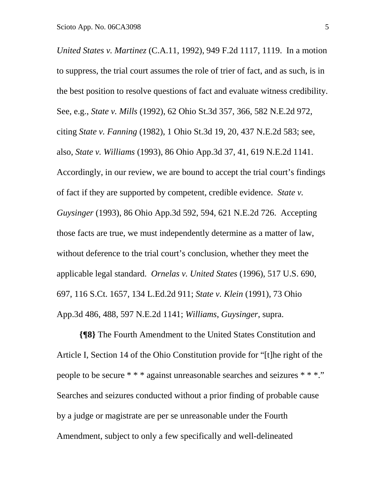*United States v. Martinez* (C.A.11, 1992), 949 F.2d 1117, 1119. In a motion to suppress, the trial court assumes the role of trier of fact, and as such, is in the best position to resolve questions of fact and evaluate witness credibility. See, e.g., *State v. Mills* (1992), 62 Ohio St.3d 357, 366, 582 N.E.2d 972, citing *State v. Fanning* (1982), 1 Ohio St.3d 19, 20, 437 N.E.2d 583; see, also, *State v. Williams* (1993), 86 Ohio App.3d 37, 41, 619 N.E.2d 1141. Accordingly, in our review, we are bound to accept the trial court's findings of fact if they are supported by competent, credible evidence. *State v. Guysinger* (1993), 86 Ohio App.3d 592, 594, 621 N.E.2d 726. Accepting those facts are true, we must independently determine as a matter of law, without deference to the trial court's conclusion, whether they meet the applicable legal standard. *Ornelas v. United States* (1996), 517 U.S. 690, 697, 116 S.Ct. 1657, 134 L.Ed.2d 911; *State v. Klein* (1991), 73 Ohio App.3d 486, 488, 597 N.E.2d 1141; *Williams*, *Guysinger*, supra.

**{¶8}** The Fourth Amendment to the United States Constitution and Article I, Section 14 of the Ohio Constitution provide for "[t]he right of the people to be secure \* \* \* against unreasonable searches and seizures \* \* \*." Searches and seizures conducted without a prior finding of probable cause by a judge or magistrate are per se unreasonable under the Fourth Amendment, subject to only a few specifically and well-delineated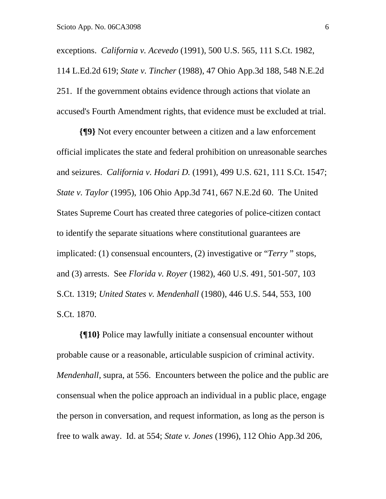exceptions. *California v. Acevedo* (1991), 500 U.S. 565, 111 S.Ct. 1982, 114 L.Ed.2d 619; *State v. Tincher* (1988), 47 Ohio App.3d 188, 548 N.E.2d 251. If the government obtains evidence through actions that violate an accused's Fourth Amendment rights, that evidence must be excluded at trial.

**{¶9}** Not every encounter between a citizen and a law enforcement official implicates the state and federal prohibition on unreasonable searches and seizures. *California v. Hodari D.* (1991), 499 U.S. 621, 111 S.Ct. 1547; *State v. Taylor* (1995), 106 Ohio App.3d 741, 667 N.E.2d 60. The United States Supreme Court has created three categories of police-citizen contact to identify the separate situations where constitutional guarantees are implicated: (1) consensual encounters, (2) investigative or "*Terry* " stops, and (3) arrests. See *Florida v. Royer* (1982), 460 U.S. 491, 501-507, 103 S.Ct. 1319; *United States v. Mendenhall* (1980), 446 U.S. 544, 553, 100 S.Ct. 1870.

**{¶10}** Police may lawfully initiate a consensual encounter without probable cause or a reasonable, articulable suspicion of criminal activity. *Mendenhall*, supra, at 556. Encounters between the police and the public are consensual when the police approach an individual in a public place, engage the person in conversation, and request information, as long as the person is free to walk away. Id. at 554; *State v. Jones* (1996), 112 Ohio App.3d 206,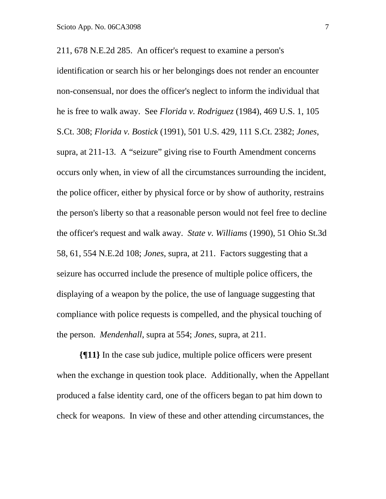211, 678 N.E.2d 285. An officer's request to examine a person's

identification or search his or her belongings does not render an encounter non-consensual, nor does the officer's neglect to inform the individual that he is free to walk away. See *Florida v. Rodriguez* (1984), 469 U.S. 1, 105 S.Ct. 308; *Florida v. Bostick* (1991), 501 U.S. 429, 111 S.Ct. 2382; *Jones*, supra, at 211-13. A "seizure" giving rise to Fourth Amendment concerns occurs only when, in view of all the circumstances surrounding the incident, the police officer, either by physical force or by show of authority, restrains the person's liberty so that a reasonable person would not feel free to decline the officer's request and walk away. *State v. Williams* (1990), 51 Ohio St.3d 58, 61, 554 N.E.2d 108; *Jones*, supra, at 211. Factors suggesting that a seizure has occurred include the presence of multiple police officers, the displaying of a weapon by the police, the use of language suggesting that compliance with police requests is compelled, and the physical touching of the person. *Mendenhall*, supra at 554; *Jones*, supra, at 211.

**{¶11}** In the case sub judice, multiple police officers were present when the exchange in question took place. Additionally, when the Appellant produced a false identity card, one of the officers began to pat him down to check for weapons. In view of these and other attending circumstances, the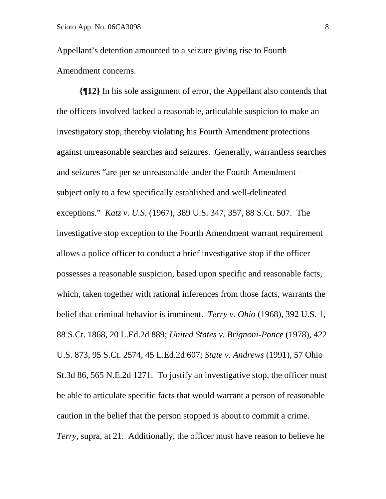Appellant's detention amounted to a seizure giving rise to Fourth Amendment concerns.

**{¶12}** In his sole assignment of error, the Appellant also contends that the officers involved lacked a reasonable, articulable suspicion to make an investigatory stop, thereby violating his Fourth Amendment protections against unreasonable searches and seizures. Generally, warrantless searches and seizures "are per se unreasonable under the Fourth Amendment – subject only to a few specifically established and well-delineated exceptions." *Katz v. U.S*. (1967), 389 U.S. 347, 357, 88 S.Ct. 507. The investigative stop exception to the Fourth Amendment warrant requirement allows a police officer to conduct a brief investigative stop if the officer possesses a reasonable suspicion, based upon specific and reasonable facts, which, taken together with rational inferences from those facts, warrants the belief that criminal behavior is imminent. *Terry v. Ohio* (1968), 392 U.S. 1, 88 S.Ct. 1868, 20 L.Ed.2d 889; *United States v. Brignoni-Ponce* (1978), 422 U.S. 873, 95 S.Ct. 2574, 45 L.Ed.2d 607; *State v. Andrews* (1991), 57 Ohio St.3d 86, 565 N.E.2d 1271. To justify an investigative stop, the officer must be able to articulate specific facts that would warrant a person of reasonable caution in the belief that the person stopped is about to commit a crime. *Terry*, supra, at 21. Additionally, the officer must have reason to believe he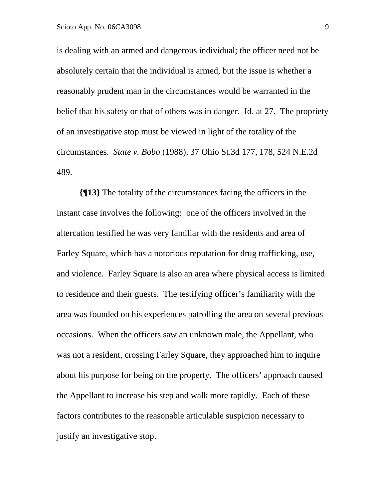is dealing with an armed and dangerous individual; the officer need not be absolutely certain that the individual is armed, but the issue is whether a reasonably prudent man in the circumstances would be warranted in the belief that his safety or that of others was in danger. Id. at 27. The propriety of an investigative stop must be viewed in light of the totality of the circumstances. *State v. Bobo* (1988), 37 Ohio St.3d 177, 178, 524 N.E.2d 489.

**{¶13}** The totality of the circumstances facing the officers in the instant case involves the following: one of the officers involved in the altercation testified he was very familiar with the residents and area of Farley Square, which has a notorious reputation for drug trafficking, use, and violence. Farley Square is also an area where physical access is limited to residence and their guests. The testifying officer's familiarity with the area was founded on his experiences patrolling the area on several previous occasions. When the officers saw an unknown male, the Appellant, who was not a resident, crossing Farley Square, they approached him to inquire about his purpose for being on the property. The officers' approach caused the Appellant to increase his step and walk more rapidly. Each of these factors contributes to the reasonable articulable suspicion necessary to justify an investigative stop.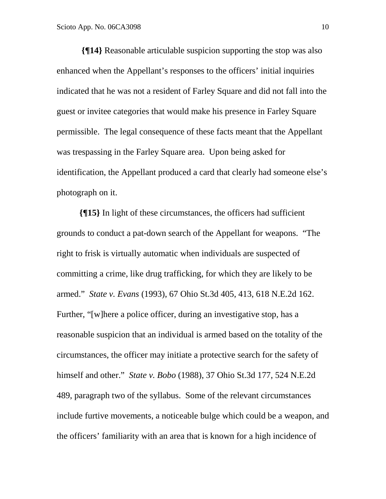**{¶14}** Reasonable articulable suspicion supporting the stop was also enhanced when the Appellant's responses to the officers' initial inquiries indicated that he was not a resident of Farley Square and did not fall into the guest or invitee categories that would make his presence in Farley Square permissible. The legal consequence of these facts meant that the Appellant was trespassing in the Farley Square area. Upon being asked for identification, the Appellant produced a card that clearly had someone else's photograph on it.

**{¶15}** In light of these circumstances, the officers had sufficient grounds to conduct a pat-down search of the Appellant for weapons. "The right to frisk is virtually automatic when individuals are suspected of committing a crime, like drug trafficking, for which they are likely to be armed." *State v. Evans* (1993), 67 Ohio St.3d 405, 413, 618 N.E.2d 162. Further, "[w]here a police officer, during an investigative stop, has a reasonable suspicion that an individual is armed based on the totality of the circumstances, the officer may initiate a protective search for the safety of himself and other." *State v. Bobo* (1988), 37 Ohio St.3d 177, 524 N.E.2d 489, paragraph two of the syllabus. Some of the relevant circumstances include furtive movements, a noticeable bulge which could be a weapon, and the officers' familiarity with an area that is known for a high incidence of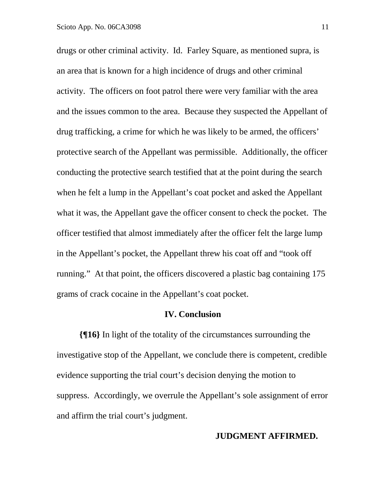drugs or other criminal activity. Id. Farley Square, as mentioned supra, is an area that is known for a high incidence of drugs and other criminal activity. The officers on foot patrol there were very familiar with the area and the issues common to the area. Because they suspected the Appellant of drug trafficking, a crime for which he was likely to be armed, the officers' protective search of the Appellant was permissible. Additionally, the officer conducting the protective search testified that at the point during the search when he felt a lump in the Appellant's coat pocket and asked the Appellant what it was, the Appellant gave the officer consent to check the pocket. The officer testified that almost immediately after the officer felt the large lump in the Appellant's pocket, the Appellant threw his coat off and "took off running." At that point, the officers discovered a plastic bag containing 175 grams of crack cocaine in the Appellant's coat pocket.

#### **IV. Conclusion**

 **{¶16}** In light of the totality of the circumstances surrounding the investigative stop of the Appellant, we conclude there is competent, credible evidence supporting the trial court's decision denying the motion to suppress. Accordingly, we overrule the Appellant's sole assignment of error and affirm the trial court's judgment.

### **JUDGMENT AFFIRMED.**